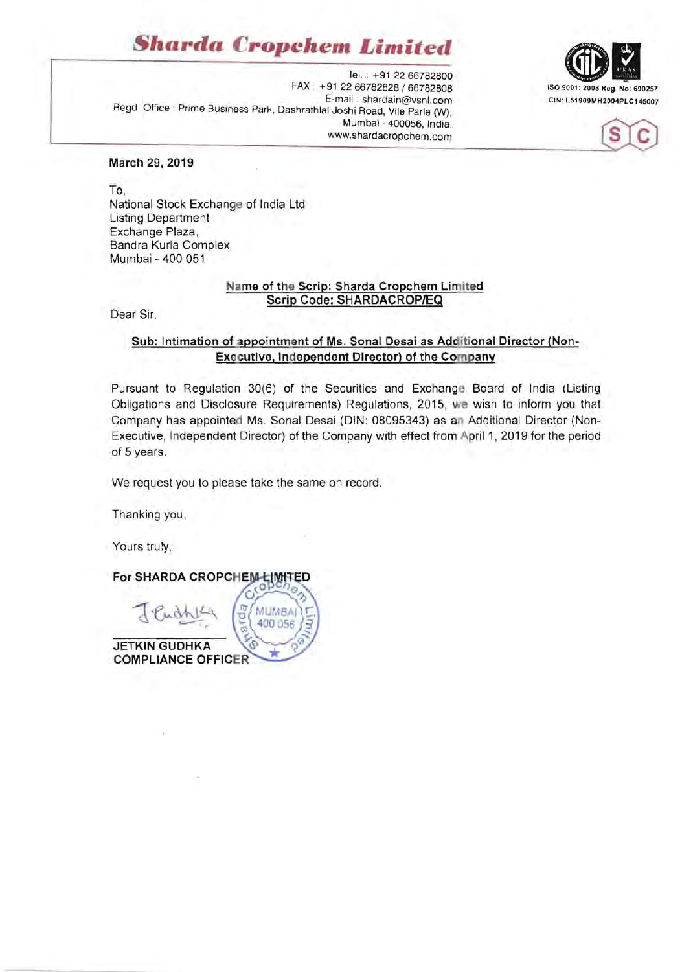## *Sharda Cropchen. Limited*

Tel. : +91 2266782800 FAX : +91 2266782828 / 66782808 ISO 9001: 2008 Reg. No: 690257 E-mail: shardain@vsnl.com CIN: L51909MH2004PLC145007 Regd. Office : Prime Business Park, Dashrathlal Joshi Road, Vile Parle (W), Mumbai - 400056, India. www.shardacropchem.com





**March 29, 2019** 

To, National Stock Exchange of India Ltd Listing Department Exchange Plaza, Sandra Kurla Complex Mumbai - 400 051

### **Name of the Scrip: Sharda Cropchem Limited Scrip Code: SHARDACROP/EQ**

Dear Sir,

### Sub: Intimation of appointment of Ms. Sonal Desai as Additional Director (Non-**Executive, Independent Director) of the Company**

Pursuant to Regulation 30(6) of the Securities and Exchange Board of India (Listing Obligations and Disclosure Requirements) Regulations, 2015, we wish to inform you that Company has appointed Ms. Sonal Desai (DIN: 08095343) as **an** Additional Director (Non-Executive, Independent Director) of the Company with effect from April 1, 2019 for the period of 5 years.

We request you to please take the same on record.

Thanking you,

Yours truly,